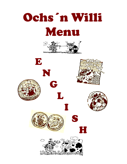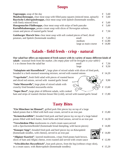## **Soups**

| <b>Tages uppe</b> , soup of the day<br><b>Maultaschensuppe,</b> clear meat soup with filled pasta squares (minced meat, spinach)<br><b>Bayrische Leberspätzlesuppe, clear meat soup with Spätzle (homemade noodles,</b> | €<br>€ | 5,60<br>5,60     |
|-------------------------------------------------------------------------------------------------------------------------------------------------------------------------------------------------------------------------|--------|------------------|
| with finely minced liver)                                                                                                                                                                                               | €      | 5,60             |
| <b>Hausgemachte Flädlesuppe, clear meat soup with strips of herb pancake</b><br>Kartoffelsahnesuppe, potato cream soup with slices of Norwegian salmon,                                                                 |        | 5,60             |
| cream and pieces of toasted garlic bread                                                                                                                                                                                |        | $\epsilon$ 7.50  |
| Gaisburger Marsch Stew clear meat soup with soft cooked pieces of beef, diced                                                                                                                                           |        |                  |
| potatoes, and Spätzle (homemade noodles)<br>small                                                                                                                                                                       |        | $\epsilon$ 7.20  |
| medium                                                                                                                                                                                                                  |        | $\epsilon$ 12,80 |
| large as main course                                                                                                                                                                                                    |        | € 14,80          |

# **Salads - field fresh - crisp - natural**

#### **Our salad bar offers an enjoyment of fresh nature with its variety of many different kinds of salads -** seasonal fresh from the market. *(An empty plate will be brought to your table!)* 1 x to choose from the salad bar small  $\epsilon$  7,50  $\text{large} \qquad \qquad \in \quad 9,50$

| "Salatplatte mit Haxenfleisch", large plate of mixed salads with slices of fried pork, |                  |
|----------------------------------------------------------------------------------------|------------------|
| breaded in a herb mustard seasoning mixture, served with roasted onions                | $\epsilon$ 14,20 |
| $\sim$ $\sim$ $\sim$                                                                   |                  |

**"Vogerlsalat",** fresh field salad with pieces of roasted bacon and sliced red onions, served with toasted garlic bread  $\left( \begin{array}{c} \sqrt{2} & \sqrt{2} & \sqrt{6} & 9.90 \\ 9.90 & \sqrt{6} & \sqrt{6} & \sqrt{6} & \sqrt{6} \\ 9.90 & \sqrt{6} & \sqrt{6} & \sqrt{6} & \sqrt{6} \\ 9.90 & \sqrt{6} & \sqrt{6} & \sqrt{6} & \sqrt{6} \\ 9.90 & \sqrt{6} & \sqrt{6} & \sqrt{6} & \sqrt{6} \\ 9.90 & \sqrt{6$ 

**"Salat Mozzarella",** large plate of mixed salads with crunchy fried breaded mozzarella sticks  $\mathbb{Z}$   $\rightarrow$   $\mathbb{Z}$   $\rightarrow$   $\mathbb{Z}$   $\rightarrow$   $\mathbb{Z}$   $\rightarrow$   $\mathbb{Z}$   $\rightarrow$   $\mathbb{Z}$   $\rightarrow$   $\mathbb{Z}$   $\rightarrow$   $\mathbb{Z}$   $\rightarrow$   $\mathbb{Z}$   $\rightarrow$   $\mathbb{Z}$   $\rightarrow$   $\mathbb{Z}$   $\rightarrow$   $\mathbb{Z}$   $\rightarrow$   $\mathbb{Z}$   $\rightarrow$ 

**"Super Bowl",** large plate of different salads, with cooked

ham and strips of roasted chicken breast filet (cold), served with toasted garlic bread  $\epsilon$  13,80

### **Tasty Bites**

| "Ein Münchner im Himmel", grilled pork filet pieces lay on top of a large<br>baked potato that is filled with herb sour cream, served in an iron pan                       | € 15,80          |
|----------------------------------------------------------------------------------------------------------------------------------------------------------------------------|------------------|
| "Kräuterkartöffele", breaded fried pork and beef pieces lay on top of a large baked<br>potato filled with herb butter, fresh herbs and fried onions, served in an iron pan | $\epsilon$ 14,50 |
| "Verschiedene Pilze mushrooms in a herb cream sauce, served<br>with a <i>Specksemmelknödel</i> (homemade bread dumpling, with bacon pieces)                                | $\epsilon$ 14,80 |
| "Knusper Sepp", breaded fried pork and beef pieces lay on Käsespätzle<br>(homemade noodles, with cheese), served in an iron pan                                            | $\epsilon$ 14,80 |
| "Allgäuer Kasrösti", layered mushrooms, crispy fried potato hash brown,<br>slices of ham and Allgäu cheese, oven roasted and served with cream sauce                       | $\epsilon$ 12.90 |
| "Schwäbisches Haxenfleisch", lean pork pieces, from the leg (without crispy skin),<br>in a cream sauce, with <i>Butterspätzle</i> (homemade noodles)                       | $\epsilon$ 15.20 |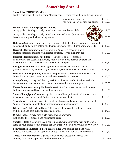# **Something Special**

### **Spare Ribs "MONTEZUMA",**

broiled pork spare ribs with a spicy Mexican sauce - enjoy eating them with your fingers!

|                                                                                                                                                                                                              | smaller single portion<br>"all you can eat" portion per person | € 16,50<br>€ 19,90 |
|--------------------------------------------------------------------------------------------------------------------------------------------------------------------------------------------------------------|----------------------------------------------------------------|--------------------|
| <b>OCHS'N WILLS knusprige Riesenhaxe,</b><br>crispy grilled giant leg of pork, served with bread and horseradish                                                                                             |                                                                | $\epsilon$ 19,50   |
| crispy grilled giant leg of pork, served with Semmelknödel (homemade<br>bread dumpling) and white cabbage salad                                                                                              |                                                                | $\epsilon$ 20,50   |
| <b>Ochs vom Spieß,</b> beef from the skewer, approx. 200g, fried juicy and pink, served with<br>horseradish and a baked potato filled with sour cream (after 18.00h or pre-ordered)                          |                                                                | € 29,90            |
| Bayrische Haxnpfanderl, fried lean pork leg pieces, breaded in a herb<br>mustard seasoning mixture, with roasted potatoes, served in an iron pan                                                             |                                                                | $\epsilon$ 17,50   |
| Bayrische Haxnpfanderl mit Pilzen, lean pork leg pieces, breaded<br>in a herb mustard seasoning mixture, with roasted onions, roasted potatoes and<br>mushrooms in a herb cream sauce, served in an iron pan |                                                                | € 22,80            |
| Stuttgarter Pfännle, three tender grilled pork loin steaks with Käsespätzle<br>(homemade noodles, with cheese), fried onions, served with bacon cabbage salad                                                |                                                                | € 22,80            |
| Ochs'n Willi Grillpfännle, juicy beef and pork steaks served with homemade herb<br>butter, bacon wrapped green beans and fries, served in an iron pan                                                        |                                                                | € 23,50            |
| <b>Entenpfännle</b> , barbary duck breast, fresh from the oven, with a fried potato hash<br>brown and mushrooms in a herb cream sauce, served in a hot iron pan                                              |                                                                | € 26,80            |
| <b>Zartes Putenbruststeak, grilled tender steak of turkey breast, served with broccoli,</b><br>hollandaise sauce and baked breaded mushrooms                                                                 |                                                                | € 19,20            |
| <b>Sahne-Champignon-Steak</b> , two grilled pieces of lean pork steak, with mushrooms<br>in a cream sauce, served with Spätzle (homemade noodles)                                                            |                                                                | € 15,20            |
| <b>Schwabenstreich</b> , tender pork filets with mushrooms and cream sauce, served with<br>Spätzle (homemade noodles) and broccoli with hollandaise sauce                                                    |                                                                | € 23,50            |
| Kleine Ochs'n Filet-Medaillons, grilled small filet pieces from the ox, served<br>with homemade herb butter and roasted potatoes                                                                             |                                                                | € 24,80            |
| Uracher Schäfertrog, lamb filets, served with homemade<br>herb butter, fries, broccoli and hollandaise sauce                                                                                                 |                                                                | € 25,20            |
| <b>Sportler-Steak,</b> a lean pork steak, approx. 250g, with homemade herb butter and a<br>salad of your choice from our salad bar (An empty plate will be brought to your table!)                           |                                                                | € 17,50            |
| <b>Schwäbische Maultaschen, pasta squares filled with pork and spinach, with</b><br>buttered and roasted onions sprinkled on top, served with potato-cucumber salad                                          |                                                                | $\epsilon$ 12,20   |
| Zartes Hähnchenbrustfilet, grilled tender chicken breast filet, served with<br>crunchy fried country potatoes and herb sour cream                                                                            |                                                                | € 14,60            |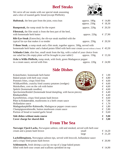

| We serve all our steaks with our special steak seasoning |  |
|----------------------------------------------------------|--|
| and a slice of toasted garlic bread (except Pfefferle).  |  |

| <b>Huftsteak</b> , the best part from the joint, extra lean                                                                                                                                              | approx. $180g$<br>approx. $250g$ | € 14,80<br>€ 18,30 |
|----------------------------------------------------------------------------------------------------------------------------------------------------------------------------------------------------------|----------------------------------|--------------------|
| <b>Rumpsteak</b> , the rump steak for the expert                                                                                                                                                         | approx. $220g$                   | $\epsilon$ 20,50   |
| <b>Filetsteak</b> , the filet steak is from the best part of the beef,<br>with homemade herb butter                                                                                                      | approx. $220g$                   | & 27,90            |
| <b>Rib-Eye-Steak</b> (Entrecôte), the rib-eye steak marbled with the<br>typical fat eye that makes it so tender                                                                                          | approx. $250g$                   | $\epsilon$ 20.50   |
| <b>T-Bone Steak</b> , a rump steak and a filet steak, together approx. 500g, served with<br>homemade herb butter and a baked potato filled with herb sour cream (served without a bone) $\epsilon$ 43,50 |                                  |                    |
| <b>Schlanke Linie</b> , slim line, small steak from the hip, with a salad of your choice from<br>our salad bar (An empty plate will be brought to your table!)                                           | approx. $150g$                   | $\epsilon$ 15,50   |
| Ochs'n Willis Pfefferle, rump steak, with fresh, green Madagascar pepper<br>in a cream sauce, served with fries                                                                                          | approx. $220g$                   | $\epsilon$ 24,90   |

**Beef Steaks**

## **Side Dishes**

| Baked potato with herb sour cream                              | € | 4,80 |
|----------------------------------------------------------------|---|------|
| Pommes frites, crispy fried fries                              | € | 4,60 |
| Wildkartöffele, crunchy fried country potatoes (wedges)        | € | 4,60 |
| Maiskolben, corn on the cob with butter                        | € | 4,60 |
| Spätzle (homemade noodles)                                     | € | 4,60 |
| Specksemmelknödel (homemade bread dumpling, with bacon pieces) | € | 4,40 |
| Röstkartoffeln                                                 | € | 4,40 |
| Kartoffelrösti, crispy fried potato hash brown                 | € | 4,60 |
| Pilze in Kräuterrahm, mushrooms in a herb cream sauce          | € | 7,90 |
| Hollandaise sauce                                              | € | 1,70 |
| Madagaskarpfeffer-Rahmsoße, Madagascar pepper cream sauce      | € | 1,80 |
| Champignonrahmsoße, button mushroom cream sauce                | € | 2,80 |
| Portion of bread or toasted garlic bread                       | € | 0,60 |
| Side dishes without main course                                | € | 5,00 |
| Cover charge for shared dish                                   |   | 3,00 |

# **From The Sea**

| Norweger Fjord-Lachs, Norwegian salmon, cold and smoked, served with herb sour                                                           |       |                  |
|------------------------------------------------------------------------------------------------------------------------------------------|-------|------------------|
| cream and a potato hash brown                                                                                                            | small | $\epsilon$ 14,20 |
|                                                                                                                                          | large | $\epsilon$ 21,20 |
| <b>Lachsfiletspitzen,</b> Norwegian salmon tips, served with broccoli, hollandaise sauce<br>and a crispy fried potato hash brown         |       | $\epsilon$ 20,90 |
| <b>Schlemmerle,</b> fresh shrimp (cold) lay on top of a large baked potato<br>filled with herb sour cream and scallions sprinkled on top |       | $\epsilon$ 14,90 |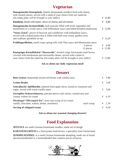# **Vegetarian**

| Hausgemachte Käsespätzle, Spätzle (homemade noodles) fried with cheese,<br>with roasted onions, served with a salad of your choice from our salad bar<br>(An empty plate will be brought to your table!) |   | $\epsilon$ 13,80                    |
|----------------------------------------------------------------------------------------------------------------------------------------------------------------------------------------------------------|---|-------------------------------------|
| Käsebrot, bread with butter, slices of cheese and red onions                                                                                                                                             | € | 8,80                                |
| <b>Hausgemachte Kräuterflädle, herb pancake filled with fresh vegetables and</b><br>mushrooms in a cream sauce, with hollandaise sauce and baked breaded mushrooms                                       |   | £ 12,90                             |
| "Saure Zenzi", pieces of broccoli and cauliflower with hollandaise sauce,<br>served with a baked potato that is filled with herb sour cream, garden-cress<br>and scallions sprinkled on top              |   | $\epsilon$ 13,20                    |
| <b>Frühlingsröllchen,</b> small crispy spring rolls with Thai sauce and Montezuma sauce                                                                                                                  |   |                                     |
| 6 pieces<br>12 pieces                                                                                                                                                                                    |   | $\epsilon$ 6,90<br>$\epsilon$ 11,80 |
| Knuspriges Kartoffelrösti "Mozzarella", broiled crispy fried potato hash brown<br>covered with mushrooms and mozzarella cheese, served with a salad of                                                   |   |                                     |
| your choice from the salad bar (An empty plate will be brought to your table!)                                                                                                                           | € | 13,80                               |

#### **Ask us about our daily vegetarian meal!**

### **Dessert**

| <b>Crème Brulée</b><br>Schwäbische Apfelküchle, battered fried apple slices, turned in cinnamon and<br>sugar, served with warm vanilla sauce<br><b>Zerrupfter Kaiserschmarrn, pancake pieces with raisins, roasted nuts and</b><br>creamy walnut ice cream<br>Maxikugel "Mövenpick Eis", maxi size scoop of ice cream<br>vanilla, chocolate, walnut, lemon, strawberry<br>each scoop<br>€ | <b>Rote Grütze, homemade mixed red berries with vanilla sauce</b> | € | 5,80            |
|-------------------------------------------------------------------------------------------------------------------------------------------------------------------------------------------------------------------------------------------------------------------------------------------------------------------------------------------------------------------------------------------|-------------------------------------------------------------------|---|-----------------|
|                                                                                                                                                                                                                                                                                                                                                                                           |                                                                   |   | $\epsilon$ 3,90 |
|                                                                                                                                                                                                                                                                                                                                                                                           |                                                                   |   | $\epsilon$ 5,00 |
|                                                                                                                                                                                                                                                                                                                                                                                           |                                                                   |   | $\epsilon$ 6,10 |
|                                                                                                                                                                                                                                                                                                                                                                                           |                                                                   |   | $\epsilon$ 2,30 |
|                                                                                                                                                                                                                                                                                                                                                                                           | Serving of whipped cream                                          |   | 0,50            |

**Ask us about our seasonal changing desserts!**

## **Food Explanation**

**SPÄTZLE** are south German homemade noodles, made out of dough **KARTOFFELRÖSTI** is a fried potato hash brown, a speciality from Switzerland **SEMMELKNÖDEL** is a south German homemade dumpling, made out of bread *Specksemmelknödel* is a *Semmelknödel* that contains pieces of bacon.